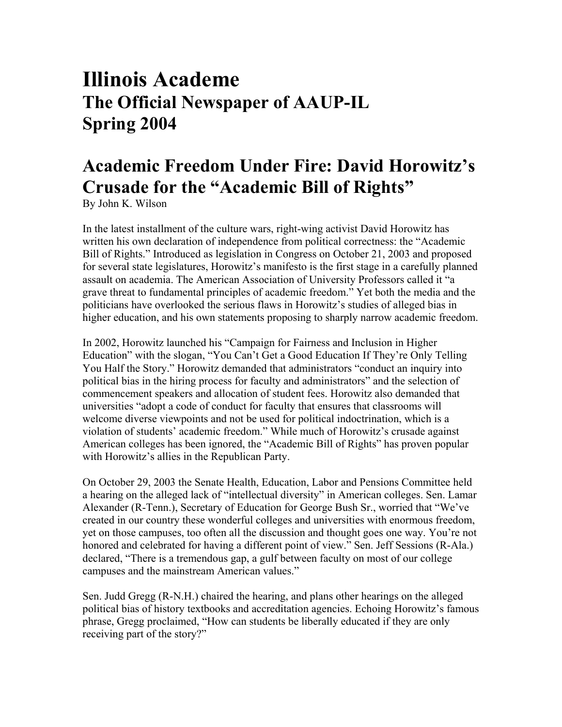# **Illinois Academe The Official Newspaper of AAUP-IL Spring 2004**

## **Academic Freedom Under Fire: David Horowitz's Crusade for the "Academic Bill of Rights"**

By John K. Wilson

In the latest installment of the culture wars, right-wing activist David Horowitz has written his own declaration of independence from political correctness: the "Academic Bill of Rights." Introduced as legislation in Congress on October 21, 2003 and proposed for several state legislatures, Horowitz's manifesto is the first stage in a carefully planned assault on academia. The American Association of University Professors called it "a grave threat to fundamental principles of academic freedom." Yet both the media and the politicians have overlooked the serious flaws in Horowitz's studies of alleged bias in higher education, and his own statements proposing to sharply narrow academic freedom.

In 2002, Horowitz launched his "Campaign for Fairness and Inclusion in Higher Education" with the slogan, "You Can't Get a Good Education If They're Only Telling You Half the Story." Horowitz demanded that administrators "conduct an inquiry into political bias in the hiring process for faculty and administrators" and the selection of commencement speakers and allocation of student fees. Horowitz also demanded that universities "adopt a code of conduct for faculty that ensures that classrooms will welcome diverse viewpoints and not be used for political indoctrination, which is a violation of students' academic freedom." While much of Horowitz's crusade against American colleges has been ignored, the "Academic Bill of Rights" has proven popular with Horowitz's allies in the Republican Party.

On October 29, 2003 the Senate Health, Education, Labor and Pensions Committee held a hearing on the alleged lack of "intellectual diversity" in American colleges. Sen. Lamar Alexander (R-Tenn.), Secretary of Education for George Bush Sr., worried that "We've created in our country these wonderful colleges and universities with enormous freedom, yet on those campuses, too often all the discussion and thought goes one way. You're not honored and celebrated for having a different point of view." Sen. Jeff Sessions (R-Ala.) declared, "There is a tremendous gap, a gulf between faculty on most of our college campuses and the mainstream American values."

Sen. Judd Gregg (R-N.H.) chaired the hearing, and plans other hearings on the alleged political bias of history textbooks and accreditation agencies. Echoing Horowitz's famous phrase, Gregg proclaimed, "How can students be liberally educated if they are only receiving part of the story?"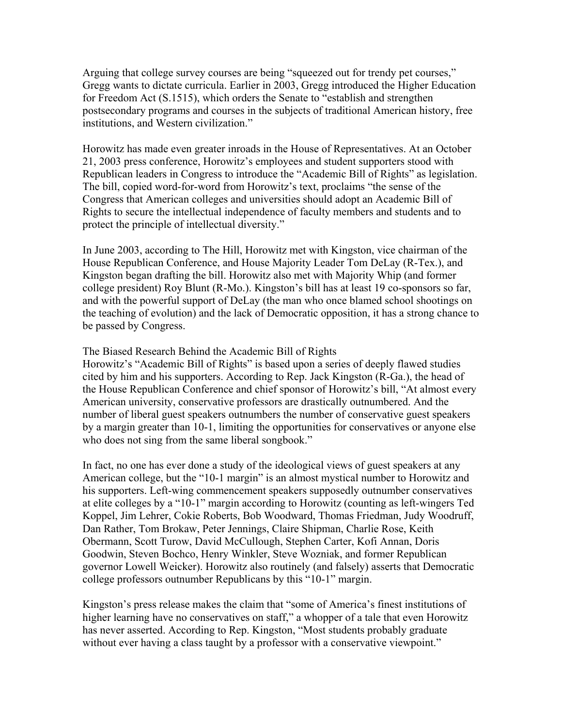Arguing that college survey courses are being "squeezed out for trendy pet courses," Gregg wants to dictate curricula. Earlier in 2003, Gregg introduced the Higher Education for Freedom Act (S.1515), which orders the Senate to "establish and strengthen postsecondary programs and courses in the subjects of traditional American history, free institutions, and Western civilization."

Horowitz has made even greater inroads in the House of Representatives. At an October 21, 2003 press conference, Horowitz's employees and student supporters stood with Republican leaders in Congress to introduce the "Academic Bill of Rights" as legislation. The bill, copied word-for-word from Horowitz's text, proclaims "the sense of the Congress that American colleges and universities should adopt an Academic Bill of Rights to secure the intellectual independence of faculty members and students and to protect the principle of intellectual diversity."

In June 2003, according to The Hill, Horowitz met with Kingston, vice chairman of the House Republican Conference, and House Majority Leader Tom DeLay (R-Tex.), and Kingston began drafting the bill. Horowitz also met with Majority Whip (and former college president) Roy Blunt (R-Mo.). Kingston's bill has at least 19 co-sponsors so far, and with the powerful support of DeLay (the man who once blamed school shootings on the teaching of evolution) and the lack of Democratic opposition, it has a strong chance to be passed by Congress.

#### The Biased Research Behind the Academic Bill of Rights

Horowitz's "Academic Bill of Rights" is based upon a series of deeply flawed studies cited by him and his supporters. According to Rep. Jack Kingston (R-Ga.), the head of the House Republican Conference and chief sponsor of Horowitz's bill, "At almost every American university, conservative professors are drastically outnumbered. And the number of liberal guest speakers outnumbers the number of conservative guest speakers by a margin greater than 10-1, limiting the opportunities for conservatives or anyone else who does not sing from the same liberal songbook."

In fact, no one has ever done a study of the ideological views of guest speakers at any American college, but the "10-1 margin" is an almost mystical number to Horowitz and his supporters. Left-wing commencement speakers supposedly outnumber conservatives at elite colleges by a "10-1" margin according to Horowitz (counting as left-wingers Ted Koppel, Jim Lehrer, Cokie Roberts, Bob Woodward, Thomas Friedman, Judy Woodruff, Dan Rather, Tom Brokaw, Peter Jennings, Claire Shipman, Charlie Rose, Keith Obermann, Scott Turow, David McCullough, Stephen Carter, Kofi Annan, Doris Goodwin, Steven Bochco, Henry Winkler, Steve Wozniak, and former Republican governor Lowell Weicker). Horowitz also routinely (and falsely) asserts that Democratic college professors outnumber Republicans by this "10-1" margin.

Kingston's press release makes the claim that "some of America's finest institutions of higher learning have no conservatives on staff," a whopper of a tale that even Horowitz has never asserted. According to Rep. Kingston, "Most students probably graduate without ever having a class taught by a professor with a conservative viewpoint."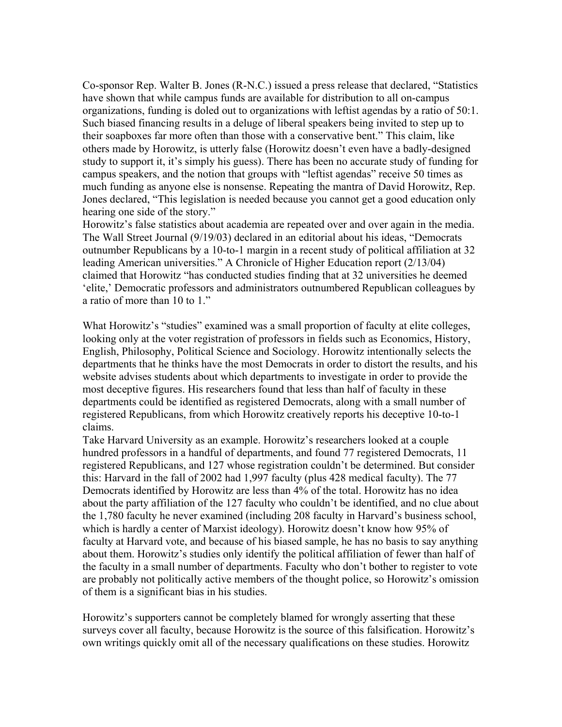Co-sponsor Rep. Walter B. Jones (R-N.C.) issued a press release that declared, "Statistics have shown that while campus funds are available for distribution to all on-campus organizations, funding is doled out to organizations with leftist agendas by a ratio of 50:1. Such biased financing results in a deluge of liberal speakers being invited to step up to their soapboxes far more often than those with a conservative bent." This claim, like others made by Horowitz, is utterly false (Horowitz doesn't even have a badly-designed study to support it, it's simply his guess). There has been no accurate study of funding for campus speakers, and the notion that groups with "leftist agendas" receive 50 times as much funding as anyone else is nonsense. Repeating the mantra of David Horowitz, Rep. Jones declared, "This legislation is needed because you cannot get a good education only hearing one side of the story."

Horowitz's false statistics about academia are repeated over and over again in the media. The Wall Street Journal (9/19/03) declared in an editorial about his ideas, "Democrats outnumber Republicans by a 10-to-1 margin in a recent study of political affiliation at 32 leading American universities." A Chronicle of Higher Education report (2/13/04) claimed that Horowitz "has conducted studies finding that at 32 universities he deemed 'elite,' Democratic professors and administrators outnumbered Republican colleagues by a ratio of more than 10 to 1."

What Horowitz's "studies" examined was a small proportion of faculty at elite colleges, looking only at the voter registration of professors in fields such as Economics, History, English, Philosophy, Political Science and Sociology. Horowitz intentionally selects the departments that he thinks have the most Democrats in order to distort the results, and his website advises students about which departments to investigate in order to provide the most deceptive figures. His researchers found that less than half of faculty in these departments could be identified as registered Democrats, along with a small number of registered Republicans, from which Horowitz creatively reports his deceptive 10-to-1 claims.

Take Harvard University as an example. Horowitz's researchers looked at a couple hundred professors in a handful of departments, and found 77 registered Democrats, 11 registered Republicans, and 127 whose registration couldn't be determined. But consider this: Harvard in the fall of 2002 had 1,997 faculty (plus 428 medical faculty). The 77 Democrats identified by Horowitz are less than 4% of the total. Horowitz has no idea about the party affiliation of the 127 faculty who couldn't be identified, and no clue about the 1,780 faculty he never examined (including 208 faculty in Harvard's business school, which is hardly a center of Marxist ideology). Horowitz doesn't know how 95% of faculty at Harvard vote, and because of his biased sample, he has no basis to say anything about them. Horowitz's studies only identify the political affiliation of fewer than half of the faculty in a small number of departments. Faculty who don't bother to register to vote are probably not politically active members of the thought police, so Horowitz's omission of them is a significant bias in his studies.

Horowitz's supporters cannot be completely blamed for wrongly asserting that these surveys cover all faculty, because Horowitz is the source of this falsification. Horowitz's own writings quickly omit all of the necessary qualifications on these studies. Horowitz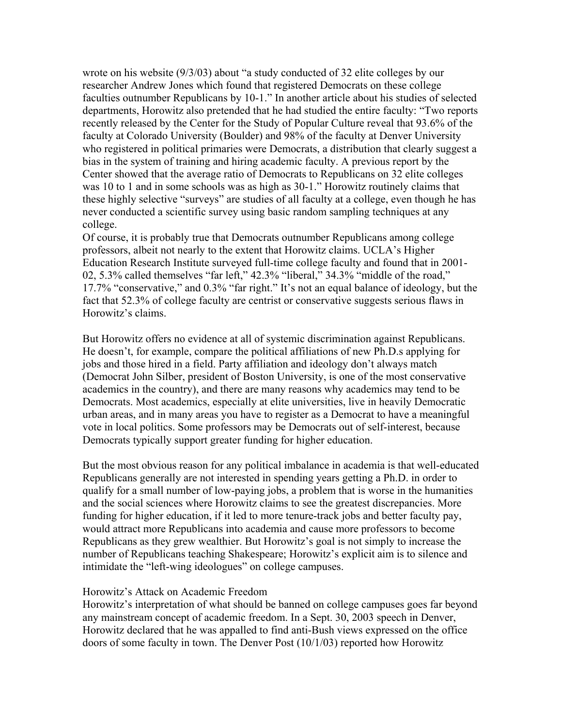wrote on his website (9/3/03) about "a study conducted of 32 elite colleges by our researcher Andrew Jones which found that registered Democrats on these college faculties outnumber Republicans by 10-1." In another article about his studies of selected departments, Horowitz also pretended that he had studied the entire faculty: "Two reports recently released by the Center for the Study of Popular Culture reveal that 93.6% of the faculty at Colorado University (Boulder) and 98% of the faculty at Denver University who registered in political primaries were Democrats, a distribution that clearly suggest a bias in the system of training and hiring academic faculty. A previous report by the Center showed that the average ratio of Democrats to Republicans on 32 elite colleges was 10 to 1 and in some schools was as high as 30-1." Horowitz routinely claims that these highly selective "surveys" are studies of all faculty at a college, even though he has never conducted a scientific survey using basic random sampling techniques at any college.

Of course, it is probably true that Democrats outnumber Republicans among college professors, albeit not nearly to the extent that Horowitz claims. UCLA's Higher Education Research Institute surveyed full-time college faculty and found that in 2001- 02, 5.3% called themselves "far left," 42.3% "liberal," 34.3% "middle of the road," 17.7% "conservative," and 0.3% "far right." It's not an equal balance of ideology, but the fact that 52.3% of college faculty are centrist or conservative suggests serious flaws in Horowitz's claims.

But Horowitz offers no evidence at all of systemic discrimination against Republicans. He doesn't, for example, compare the political affiliations of new Ph.D.s applying for jobs and those hired in a field. Party affiliation and ideology don't always match (Democrat John Silber, president of Boston University, is one of the most conservative academics in the country), and there are many reasons why academics may tend to be Democrats. Most academics, especially at elite universities, live in heavily Democratic urban areas, and in many areas you have to register as a Democrat to have a meaningful vote in local politics. Some professors may be Democrats out of self-interest, because Democrats typically support greater funding for higher education.

But the most obvious reason for any political imbalance in academia is that well-educated Republicans generally are not interested in spending years getting a Ph.D. in order to qualify for a small number of low-paying jobs, a problem that is worse in the humanities and the social sciences where Horowitz claims to see the greatest discrepancies. More funding for higher education, if it led to more tenure-track jobs and better faculty pay, would attract more Republicans into academia and cause more professors to become Republicans as they grew wealthier. But Horowitz's goal is not simply to increase the number of Republicans teaching Shakespeare; Horowitz's explicit aim is to silence and intimidate the "left-wing ideologues" on college campuses.

#### Horowitz's Attack on Academic Freedom

Horowitz's interpretation of what should be banned on college campuses goes far beyond any mainstream concept of academic freedom. In a Sept. 30, 2003 speech in Denver, Horowitz declared that he was appalled to find anti-Bush views expressed on the office doors of some faculty in town. The Denver Post (10/1/03) reported how Horowitz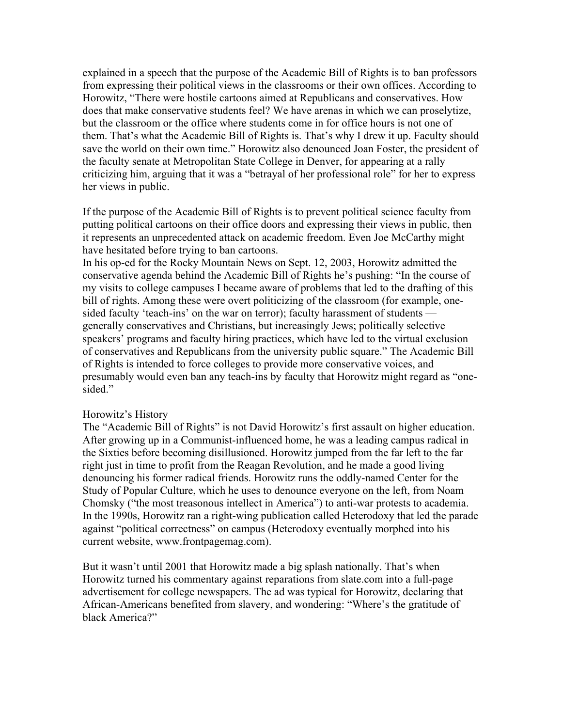explained in a speech that the purpose of the Academic Bill of Rights is to ban professors from expressing their political views in the classrooms or their own offices. According to Horowitz, "There were hostile cartoons aimed at Republicans and conservatives. How does that make conservative students feel? We have arenas in which we can proselytize, but the classroom or the office where students come in for office hours is not one of them. That's what the Academic Bill of Rights is. That's why I drew it up. Faculty should save the world on their own time." Horowitz also denounced Joan Foster, the president of the faculty senate at Metropolitan State College in Denver, for appearing at a rally criticizing him, arguing that it was a "betrayal of her professional role" for her to express her views in public.

If the purpose of the Academic Bill of Rights is to prevent political science faculty from putting political cartoons on their office doors and expressing their views in public, then it represents an unprecedented attack on academic freedom. Even Joe McCarthy might have hesitated before trying to ban cartoons.

In his op-ed for the Rocky Mountain News on Sept. 12, 2003, Horowitz admitted the conservative agenda behind the Academic Bill of Rights he's pushing: "In the course of my visits to college campuses I became aware of problems that led to the drafting of this bill of rights. Among these were overt politicizing of the classroom (for example, onesided faculty 'teach-ins' on the war on terror); faculty harassment of students generally conservatives and Christians, but increasingly Jews; politically selective speakers' programs and faculty hiring practices, which have led to the virtual exclusion of conservatives and Republicans from the university public square." The Academic Bill of Rights is intended to force colleges to provide more conservative voices, and presumably would even ban any teach-ins by faculty that Horowitz might regard as "onesided."

#### Horowitz's History

The "Academic Bill of Rights" is not David Horowitz's first assault on higher education. After growing up in a Communist-influenced home, he was a leading campus radical in the Sixties before becoming disillusioned. Horowitz jumped from the far left to the far right just in time to profit from the Reagan Revolution, and he made a good living denouncing his former radical friends. Horowitz runs the oddly-named Center for the Study of Popular Culture, which he uses to denounce everyone on the left, from Noam Chomsky ("the most treasonous intellect in America") to anti-war protests to academia. In the 1990s, Horowitz ran a right-wing publication called Heterodoxy that led the parade against "political correctness" on campus (Heterodoxy eventually morphed into his current website, www.frontpagemag.com).

But it wasn't until 2001 that Horowitz made a big splash nationally. That's when Horowitz turned his commentary against reparations from slate.com into a full-page advertisement for college newspapers. The ad was typical for Horowitz, declaring that African-Americans benefited from slavery, and wondering: "Where's the gratitude of black America?"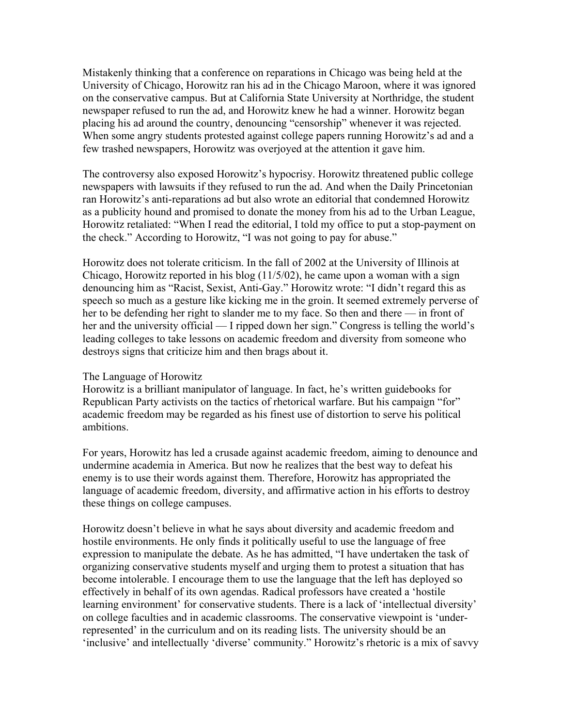Mistakenly thinking that a conference on reparations in Chicago was being held at the University of Chicago, Horowitz ran his ad in the Chicago Maroon, where it was ignored on the conservative campus. But at California State University at Northridge, the student newspaper refused to run the ad, and Horowitz knew he had a winner. Horowitz began placing his ad around the country, denouncing "censorship" whenever it was rejected. When some angry students protested against college papers running Horowitz's ad and a few trashed newspapers, Horowitz was overjoyed at the attention it gave him.

The controversy also exposed Horowitz's hypocrisy. Horowitz threatened public college newspapers with lawsuits if they refused to run the ad. And when the Daily Princetonian ran Horowitz's anti-reparations ad but also wrote an editorial that condemned Horowitz as a publicity hound and promised to donate the money from his ad to the Urban League, Horowitz retaliated: "When I read the editorial, I told my office to put a stop-payment on the check." According to Horowitz, "I was not going to pay for abuse."

Horowitz does not tolerate criticism. In the fall of 2002 at the University of Illinois at Chicago, Horowitz reported in his blog (11/5/02), he came upon a woman with a sign denouncing him as "Racist, Sexist, Anti-Gay." Horowitz wrote: "I didn't regard this as speech so much as a gesture like kicking me in the groin. It seemed extremely perverse of her to be defending her right to slander me to my face. So then and there — in front of her and the university official — I ripped down her sign." Congress is telling the world's leading colleges to take lessons on academic freedom and diversity from someone who destroys signs that criticize him and then brags about it.

#### The Language of Horowitz

Horowitz is a brilliant manipulator of language. In fact, he's written guidebooks for Republican Party activists on the tactics of rhetorical warfare. But his campaign "for" academic freedom may be regarded as his finest use of distortion to serve his political ambitions.

For years, Horowitz has led a crusade against academic freedom, aiming to denounce and undermine academia in America. But now he realizes that the best way to defeat his enemy is to use their words against them. Therefore, Horowitz has appropriated the language of academic freedom, diversity, and affirmative action in his efforts to destroy these things on college campuses.

Horowitz doesn't believe in what he says about diversity and academic freedom and hostile environments. He only finds it politically useful to use the language of free expression to manipulate the debate. As he has admitted, "I have undertaken the task of organizing conservative students myself and urging them to protest a situation that has become intolerable. I encourage them to use the language that the left has deployed so effectively in behalf of its own agendas. Radical professors have created a 'hostile learning environment' for conservative students. There is a lack of 'intellectual diversity' on college faculties and in academic classrooms. The conservative viewpoint is 'underrepresented' in the curriculum and on its reading lists. The university should be an 'inclusive' and intellectually 'diverse' community." Horowitz's rhetoric is a mix of savvy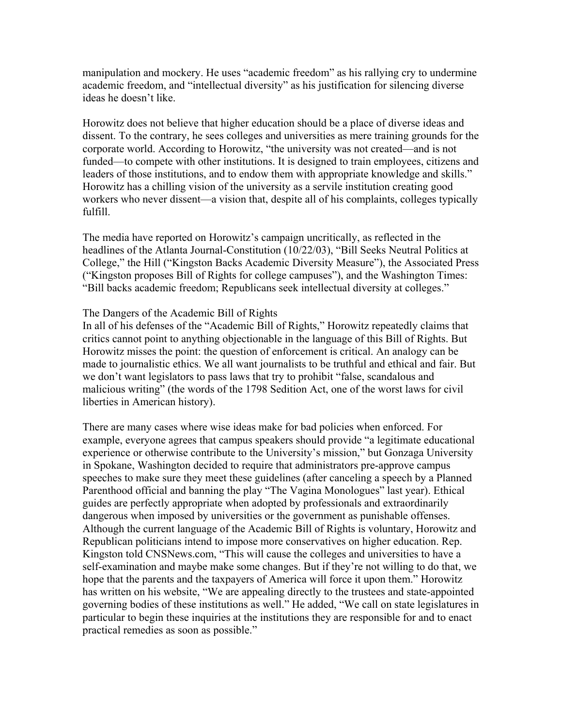manipulation and mockery. He uses "academic freedom" as his rallying cry to undermine academic freedom, and "intellectual diversity" as his justification for silencing diverse ideas he doesn't like.

Horowitz does not believe that higher education should be a place of diverse ideas and dissent. To the contrary, he sees colleges and universities as mere training grounds for the corporate world. According to Horowitz, "the university was not created—and is not funded—to compete with other institutions. It is designed to train employees, citizens and leaders of those institutions, and to endow them with appropriate knowledge and skills." Horowitz has a chilling vision of the university as a servile institution creating good workers who never dissent—a vision that, despite all of his complaints, colleges typically fulfill.

The media have reported on Horowitz's campaign uncritically, as reflected in the headlines of the Atlanta Journal-Constitution (10/22/03), "Bill Seeks Neutral Politics at College," the Hill ("Kingston Backs Academic Diversity Measure"), the Associated Press ("Kingston proposes Bill of Rights for college campuses"), and the Washington Times: "Bill backs academic freedom; Republicans seek intellectual diversity at colleges."

### The Dangers of the Academic Bill of Rights

In all of his defenses of the "Academic Bill of Rights," Horowitz repeatedly claims that critics cannot point to anything objectionable in the language of this Bill of Rights. But Horowitz misses the point: the question of enforcement is critical. An analogy can be made to journalistic ethics. We all want journalists to be truthful and ethical and fair. But we don't want legislators to pass laws that try to prohibit "false, scandalous and malicious writing" (the words of the 1798 Sedition Act, one of the worst laws for civil liberties in American history).

There are many cases where wise ideas make for bad policies when enforced. For example, everyone agrees that campus speakers should provide "a legitimate educational experience or otherwise contribute to the University's mission," but Gonzaga University in Spokane, Washington decided to require that administrators pre-approve campus speeches to make sure they meet these guidelines (after canceling a speech by a Planned Parenthood official and banning the play "The Vagina Monologues" last year). Ethical guides are perfectly appropriate when adopted by professionals and extraordinarily dangerous when imposed by universities or the government as punishable offenses. Although the current language of the Academic Bill of Rights is voluntary, Horowitz and Republican politicians intend to impose more conservatives on higher education. Rep. Kingston told CNSNews.com, "This will cause the colleges and universities to have a self-examination and maybe make some changes. But if they're not willing to do that, we hope that the parents and the taxpayers of America will force it upon them." Horowitz has written on his website, "We are appealing directly to the trustees and state-appointed governing bodies of these institutions as well." He added, "We call on state legislatures in particular to begin these inquiries at the institutions they are responsible for and to enact practical remedies as soon as possible."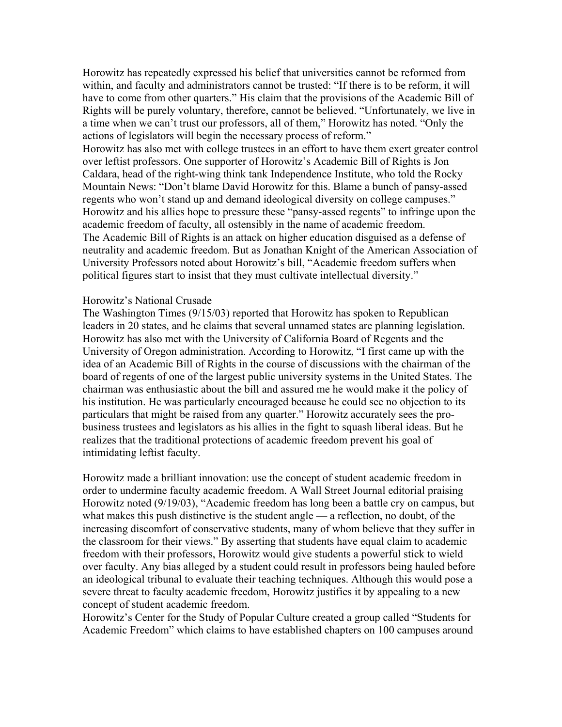Horowitz has repeatedly expressed his belief that universities cannot be reformed from within, and faculty and administrators cannot be trusted: "If there is to be reform, it will have to come from other quarters." His claim that the provisions of the Academic Bill of Rights will be purely voluntary, therefore, cannot be believed. "Unfortunately, we live in a time when we can't trust our professors, all of them," Horowitz has noted. "Only the actions of legislators will begin the necessary process of reform."

Horowitz has also met with college trustees in an effort to have them exert greater control over leftist professors. One supporter of Horowitz's Academic Bill of Rights is Jon Caldara, head of the right-wing think tank Independence Institute, who told the Rocky Mountain News: "Don't blame David Horowitz for this. Blame a bunch of pansy-assed regents who won't stand up and demand ideological diversity on college campuses." Horowitz and his allies hope to pressure these "pansy-assed regents" to infringe upon the academic freedom of faculty, all ostensibly in the name of academic freedom. The Academic Bill of Rights is an attack on higher education disguised as a defense of neutrality and academic freedom. But as Jonathan Knight of the American Association of University Professors noted about Horowitz's bill, "Academic freedom suffers when political figures start to insist that they must cultivate intellectual diversity."

#### Horowitz's National Crusade

The Washington Times (9/15/03) reported that Horowitz has spoken to Republican leaders in 20 states, and he claims that several unnamed states are planning legislation. Horowitz has also met with the University of California Board of Regents and the University of Oregon administration. According to Horowitz, "I first came up with the idea of an Academic Bill of Rights in the course of discussions with the chairman of the board of regents of one of the largest public university systems in the United States. The chairman was enthusiastic about the bill and assured me he would make it the policy of his institution. He was particularly encouraged because he could see no objection to its particulars that might be raised from any quarter." Horowitz accurately sees the probusiness trustees and legislators as his allies in the fight to squash liberal ideas. But he realizes that the traditional protections of academic freedom prevent his goal of intimidating leftist faculty.

Horowitz made a brilliant innovation: use the concept of student academic freedom in order to undermine faculty academic freedom. A Wall Street Journal editorial praising Horowitz noted (9/19/03), "Academic freedom has long been a battle cry on campus, but what makes this push distinctive is the student angle — a reflection, no doubt, of the increasing discomfort of conservative students, many of whom believe that they suffer in the classroom for their views." By asserting that students have equal claim to academic freedom with their professors, Horowitz would give students a powerful stick to wield over faculty. Any bias alleged by a student could result in professors being hauled before an ideological tribunal to evaluate their teaching techniques. Although this would pose a severe threat to faculty academic freedom, Horowitz justifies it by appealing to a new concept of student academic freedom.

Horowitz's Center for the Study of Popular Culture created a group called "Students for Academic Freedom" which claims to have established chapters on 100 campuses around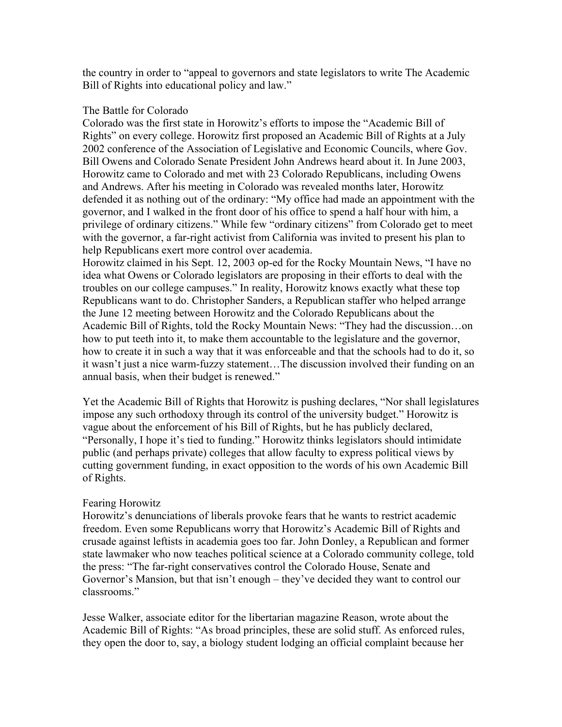the country in order to "appeal to governors and state legislators to write The Academic Bill of Rights into educational policy and law."

## The Battle for Colorado

Colorado was the first state in Horowitz's efforts to impose the "Academic Bill of Rights" on every college. Horowitz first proposed an Academic Bill of Rights at a July 2002 conference of the Association of Legislative and Economic Councils, where Gov. Bill Owens and Colorado Senate President John Andrews heard about it. In June 2003, Horowitz came to Colorado and met with 23 Colorado Republicans, including Owens and Andrews. After his meeting in Colorado was revealed months later, Horowitz defended it as nothing out of the ordinary: "My office had made an appointment with the governor, and I walked in the front door of his office to spend a half hour with him, a privilege of ordinary citizens." While few "ordinary citizens" from Colorado get to meet with the governor, a far-right activist from California was invited to present his plan to help Republicans exert more control over academia.

Horowitz claimed in his Sept. 12, 2003 op-ed for the Rocky Mountain News, "I have no idea what Owens or Colorado legislators are proposing in their efforts to deal with the troubles on our college campuses." In reality, Horowitz knows exactly what these top Republicans want to do. Christopher Sanders, a Republican staffer who helped arrange the June 12 meeting between Horowitz and the Colorado Republicans about the Academic Bill of Rights, told the Rocky Mountain News: "They had the discussion…on how to put teeth into it, to make them accountable to the legislature and the governor, how to create it in such a way that it was enforceable and that the schools had to do it, so it wasn't just a nice warm-fuzzy statement…The discussion involved their funding on an annual basis, when their budget is renewed."

Yet the Academic Bill of Rights that Horowitz is pushing declares, "Nor shall legislatures impose any such orthodoxy through its control of the university budget." Horowitz is vague about the enforcement of his Bill of Rights, but he has publicly declared, "Personally, I hope it's tied to funding." Horowitz thinks legislators should intimidate public (and perhaps private) colleges that allow faculty to express political views by cutting government funding, in exact opposition to the words of his own Academic Bill of Rights.

## Fearing Horowitz

Horowitz's denunciations of liberals provoke fears that he wants to restrict academic freedom. Even some Republicans worry that Horowitz's Academic Bill of Rights and crusade against leftists in academia goes too far. John Donley, a Republican and former state lawmaker who now teaches political science at a Colorado community college, told the press: "The far-right conservatives control the Colorado House, Senate and Governor's Mansion, but that isn't enough – they've decided they want to control our classrooms."

Jesse Walker, associate editor for the libertarian magazine Reason, wrote about the Academic Bill of Rights: "As broad principles, these are solid stuff. As enforced rules, they open the door to, say, a biology student lodging an official complaint because her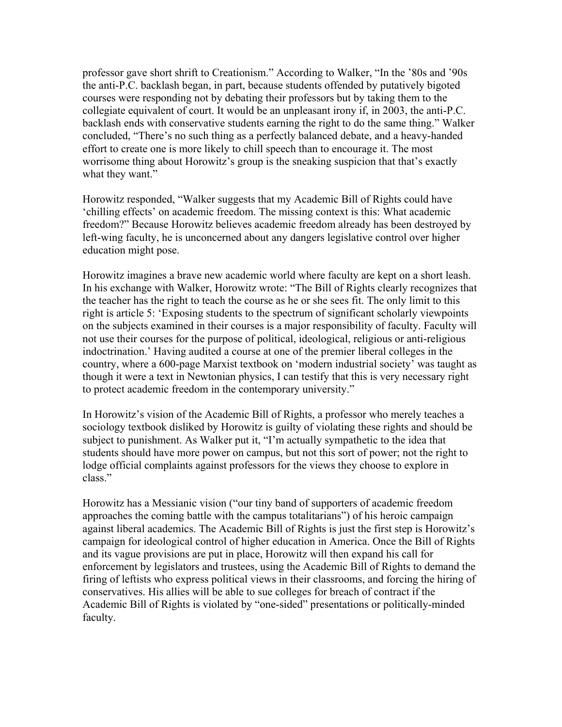professor gave short shrift to Creationism." According to Walker, "In the '80s and '90s the anti-P.C. backlash began, in part, because students offended by putatively bigoted courses were responding not by debating their professors but by taking them to the collegiate equivalent of court. It would be an unpleasant irony if, in 2003, the anti-P.C. backlash ends with conservative students earning the right to do the same thing." Walker concluded, "There's no such thing as a perfectly balanced debate, and a heavy-handed effort to create one is more likely to chill speech than to encourage it. The most worrisome thing about Horowitz's group is the sneaking suspicion that that's exactly what they want."

Horowitz responded, "Walker suggests that my Academic Bill of Rights could have 'chilling effects' on academic freedom. The missing context is this: What academic freedom?" Because Horowitz believes academic freedom already has been destroyed by left-wing faculty, he is unconcerned about any dangers legislative control over higher education might pose.

Horowitz imagines a brave new academic world where faculty are kept on a short leash. In his exchange with Walker, Horowitz wrote: "The Bill of Rights clearly recognizes that the teacher has the right to teach the course as he or she sees fit. The only limit to this right is article 5: 'Exposing students to the spectrum of significant scholarly viewpoints on the subjects examined in their courses is a major responsibility of faculty. Faculty will not use their courses for the purpose of political, ideological, religious or anti-religious indoctrination.' Having audited a course at one of the premier liberal colleges in the country, where a 600-page Marxist textbook on 'modern industrial society' was taught as though it were a text in Newtonian physics, I can testify that this is very necessary right to protect academic freedom in the contemporary university."

In Horowitz's vision of the Academic Bill of Rights, a professor who merely teaches a sociology textbook disliked by Horowitz is guilty of violating these rights and should be subject to punishment. As Walker put it, "I'm actually sympathetic to the idea that students should have more power on campus, but not this sort of power; not the right to lodge official complaints against professors for the views they choose to explore in class."

Horowitz has a Messianic vision ("our tiny band of supporters of academic freedom approaches the coming battle with the campus totalitarians") of his heroic campaign against liberal academics. The Academic Bill of Rights is just the first step is Horowitz's campaign for ideological control of higher education in America. Once the Bill of Rights and its vague provisions are put in place, Horowitz will then expand his call for enforcement by legislators and trustees, using the Academic Bill of Rights to demand the firing of leftists who express political views in their classrooms, and forcing the hiring of conservatives. His allies will be able to sue colleges for breach of contract if the Academic Bill of Rights is violated by "one-sided" presentations or politically-minded faculty.